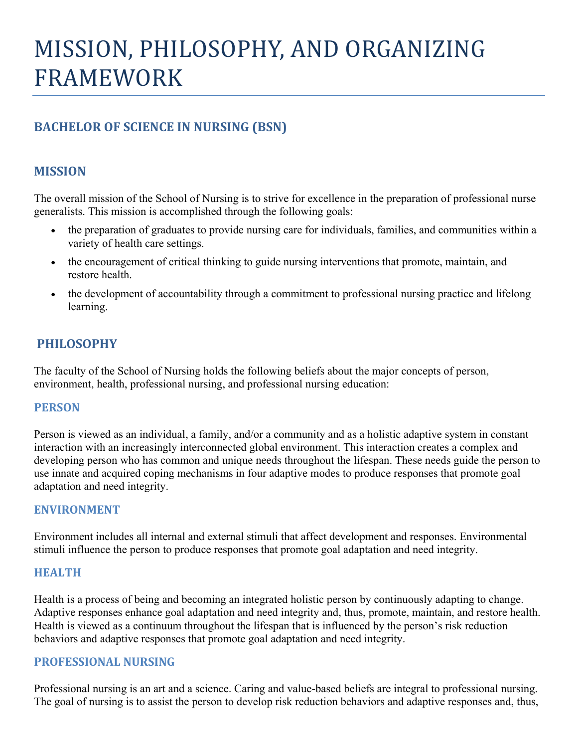# MISSION, PHILOSOPHY, AND ORGANIZING FRAMEWORK

# **BACHELOR OF SCIENCE IN NURSING (BSN)**

# **MISSION**

The overall mission of the School of Nursing is to strive for excellence in the preparation of professional nurse generalists. This mission is accomplished through the following goals:

- the preparation of graduates to provide nursing care for individuals, families, and communities within a variety of health care settings.
- the encouragement of critical thinking to guide nursing interventions that promote, maintain, and restore health.
- the development of accountability through a commitment to professional nursing practice and lifelong learning.

# **PHILOSOPHY**

The faculty of the School of Nursing holds the following beliefs about the major concepts of person, environment, health, professional nursing, and professional nursing education:

## **PERSON**

Person is viewed as an individual, a family, and/or a community and as a holistic adaptive system in constant interaction with an increasingly interconnected global environment. This interaction creates a complex and developing person who has common and unique needs throughout the lifespan. These needs guide the person to use innate and acquired coping mechanisms in four adaptive modes to produce responses that promote goal adaptation and need integrity.

#### **ENVIRONMENT**

Environment includes all internal and external stimuli that affect development and responses. Environmental stimuli influence the person to produce responses that promote goal adaptation and need integrity.

#### **HEALTH**

Health is a process of being and becoming an integrated holistic person by continuously adapting to change. Adaptive responses enhance goal adaptation and need integrity and, thus, promote, maintain, and restore health. Health is viewed as a continuum throughout the lifespan that is influenced by the person's risk reduction behaviors and adaptive responses that promote goal adaptation and need integrity.

#### **PROFESSIONAL NURSING**

Professional nursing is an art and a science. Caring and value-based beliefs are integral to professional nursing. The goal of nursing is to assist the person to develop risk reduction behaviors and adaptive responses and, thus,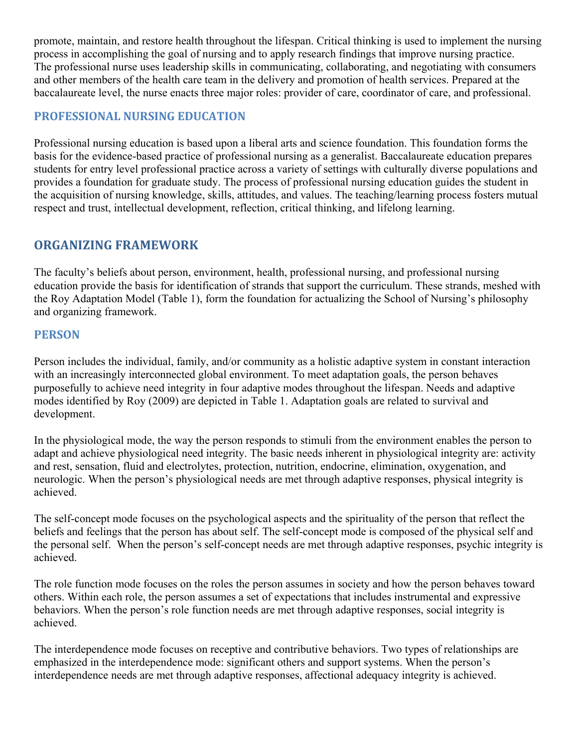promote, maintain, and restore health throughout the lifespan. Critical thinking is used to implement the nursing process in accomplishing the goal of nursing and to apply research findings that improve nursing practice. The professional nurse uses leadership skills in communicating, collaborating, and negotiating with consumers and other members of the health care team in the delivery and promotion of health services. Prepared at the baccalaureate level, the nurse enacts three major roles: provider of care, coordinator of care, and professional.

# **PROFESSIONAL NURSING EDUCATION**

Professional nursing education is based upon a liberal arts and science foundation. This foundation forms the basis for the evidence-based practice of professional nursing as a generalist. Baccalaureate education prepares students for entry level professional practice across a variety of settings with culturally diverse populations and provides a foundation for graduate study. The process of professional nursing education guides the student in the acquisition of nursing knowledge, skills, attitudes, and values. The teaching/learning process fosters mutual respect and trust, intellectual development, reflection, critical thinking, and lifelong learning.

# **ORGANIZING FRAMEWORK**

The faculty's beliefs about person, environment, health, professional nursing, and professional nursing education provide the basis for identification of strands that support the curriculum. These strands, meshed with the Roy Adaptation Model (Table 1), form the foundation for actualizing the School of Nursing's philosophy and organizing framework.

## **PERSON**

Person includes the individual, family, and/or community as a holistic adaptive system in constant interaction with an increasingly interconnected global environment. To meet adaptation goals, the person behaves purposefully to achieve need integrity in four adaptive modes throughout the lifespan. Needs and adaptive modes identified by Roy (2009) are depicted in Table 1. Adaptation goals are related to survival and development.

In the physiological mode, the way the person responds to stimuli from the environment enables the person to adapt and achieve physiological need integrity. The basic needs inherent in physiological integrity are: activity and rest, sensation, fluid and electrolytes, protection, nutrition, endocrine, elimination, oxygenation, and neurologic. When the person's physiological needs are met through adaptive responses, physical integrity is achieved.

The self-concept mode focuses on the psychological aspects and the spirituality of the person that reflect the beliefs and feelings that the person has about self. The self-concept mode is composed of the physical self and the personal self. When the person's self-concept needs are met through adaptive responses, psychic integrity is achieved.

The role function mode focuses on the roles the person assumes in society and how the person behaves toward others. Within each role, the person assumes a set of expectations that includes instrumental and expressive behaviors. When the person's role function needs are met through adaptive responses, social integrity is achieved.

The interdependence mode focuses on receptive and contributive behaviors. Two types of relationships are emphasized in the interdependence mode: significant others and support systems. When the person's interdependence needs are met through adaptive responses, affectional adequacy integrity is achieved.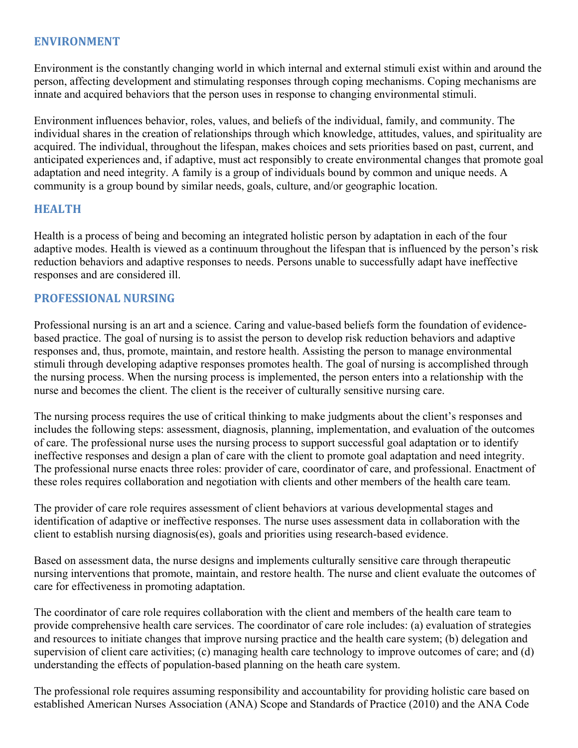## **ENVIRONMENT**

Environment is the constantly changing world in which internal and external stimuli exist within and around the person, affecting development and stimulating responses through coping mechanisms. Coping mechanisms are innate and acquired behaviors that the person uses in response to changing environmental stimuli.

Environment influences behavior, roles, values, and beliefs of the individual, family, and community. The individual shares in the creation of relationships through which knowledge, attitudes, values, and spirituality are acquired. The individual, throughout the lifespan, makes choices and sets priorities based on past, current, and anticipated experiences and, if adaptive, must act responsibly to create environmental changes that promote goal adaptation and need integrity. A family is a group of individuals bound by common and unique needs. A community is a group bound by similar needs, goals, culture, and/or geographic location.

#### **HEALTH**

Health is a process of being and becoming an integrated holistic person by adaptation in each of the four adaptive modes. Health is viewed as a continuum throughout the lifespan that is influenced by the person's risk reduction behaviors and adaptive responses to needs. Persons unable to successfully adapt have ineffective responses and are considered ill.

#### **PROFESSIONAL NURSING**

Professional nursing is an art and a science. Caring and value-based beliefs form the foundation of evidencebased practice. The goal of nursing is to assist the person to develop risk reduction behaviors and adaptive responses and, thus, promote, maintain, and restore health. Assisting the person to manage environmental stimuli through developing adaptive responses promotes health. The goal of nursing is accomplished through the nursing process. When the nursing process is implemented, the person enters into a relationship with the nurse and becomes the client. The client is the receiver of culturally sensitive nursing care.

The nursing process requires the use of critical thinking to make judgments about the client's responses and includes the following steps: assessment, diagnosis, planning, implementation, and evaluation of the outcomes of care. The professional nurse uses the nursing process to support successful goal adaptation or to identify ineffective responses and design a plan of care with the client to promote goal adaptation and need integrity. The professional nurse enacts three roles: provider of care, coordinator of care, and professional. Enactment of these roles requires collaboration and negotiation with clients and other members of the health care team.

The provider of care role requires assessment of client behaviors at various developmental stages and identification of adaptive or ineffective responses. The nurse uses assessment data in collaboration with the client to establish nursing diagnosis(es), goals and priorities using research-based evidence.

Based on assessment data, the nurse designs and implements culturally sensitive care through therapeutic nursing interventions that promote, maintain, and restore health. The nurse and client evaluate the outcomes of care for effectiveness in promoting adaptation.

The coordinator of care role requires collaboration with the client and members of the health care team to provide comprehensive health care services. The coordinator of care role includes: (a) evaluation of strategies and resources to initiate changes that improve nursing practice and the health care system; (b) delegation and supervision of client care activities; (c) managing health care technology to improve outcomes of care; and (d) understanding the effects of population-based planning on the heath care system.

The professional role requires assuming responsibility and accountability for providing holistic care based on established American Nurses Association (ANA) Scope and Standards of Practice (2010) and the ANA Code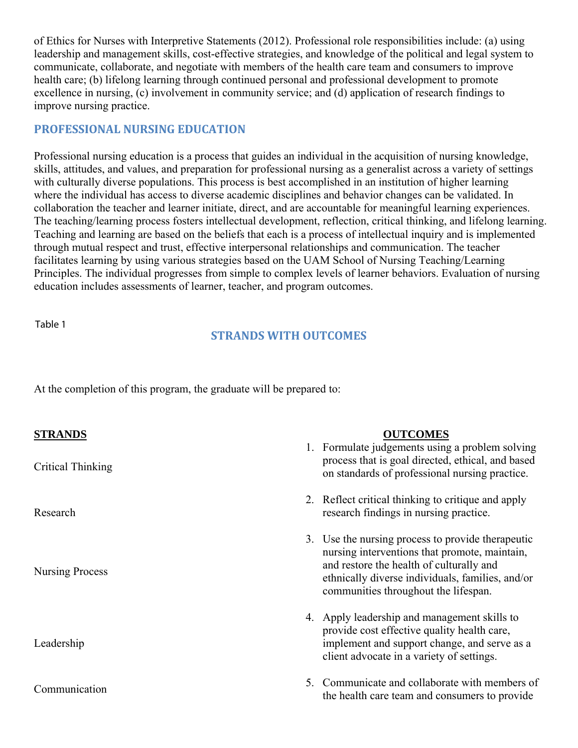of Ethics for Nurses with Interpretive Statements (2012). Professional role responsibilities include: (a) using leadership and management skills, cost-effective strategies, and knowledge of the political and legal system to communicate, collaborate, and negotiate with members of the health care team and consumers to improve health care; (b) lifelong learning through continued personal and professional development to promote excellence in nursing, (c) involvement in community service; and (d) application of research findings to improve nursing practice.

# **PROFESSIONAL NURSING EDUCATION**

Professional nursing education is a process that guides an individual in the acquisition of nursing knowledge, skills, attitudes, and values, and preparation for professional nursing as a generalist across a variety of settings with culturally diverse populations. This process is best accomplished in an institution of higher learning where the individual has access to diverse academic disciplines and behavior changes can be validated. In collaboration the teacher and learner initiate, direct, and are accountable for meaningful learning experiences. The teaching/learning process fosters intellectual development, reflection, critical thinking, and lifelong learning. Teaching and learning are based on the beliefs that each is a process of intellectual inquiry and is implemented through mutual respect and trust, effective interpersonal relationships and communication. The teacher facilitates learning by using various strategies based on the UAM School of Nursing Teaching/Learning Principles. The individual progresses from simple to complex levels of learner behaviors. Evaluation of nursing education includes assessments of learner, teacher, and program outcomes.

Table 1

## **STRANDS WITH OUTCOMES**

At the completion of this program, the graduate will be prepared to:

| <b>STRANDS</b><br>Critical Thinking | <b>OUTCOMES</b><br>1. Formulate judgements using a problem solving<br>process that is goal directed, ethical, and based<br>on standards of professional nursing practice.                                                                  |
|-------------------------------------|--------------------------------------------------------------------------------------------------------------------------------------------------------------------------------------------------------------------------------------------|
| Research                            | 2. Reflect critical thinking to critique and apply<br>research findings in nursing practice.                                                                                                                                               |
| Nursing Process                     | 3. Use the nursing process to provide therapeutic<br>nursing interventions that promote, maintain,<br>and restore the health of culturally and<br>ethnically diverse individuals, families, and/or<br>communities throughout the lifespan. |
| Leadership                          | 4. Apply leadership and management skills to<br>provide cost effective quality health care,<br>implement and support change, and serve as a<br>client advocate in a variety of settings.                                                   |
| Communication                       | 5. Communicate and collaborate with members of<br>the health care team and consumers to provide                                                                                                                                            |